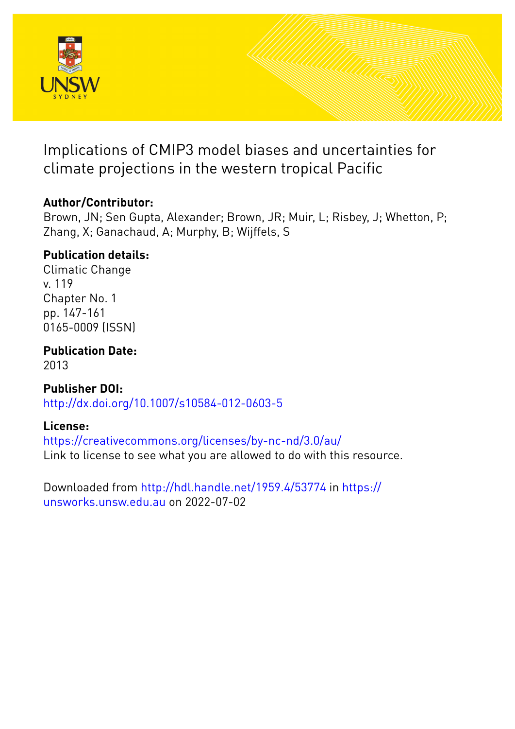

Implications of CMIP3 model biases and uncertainties for climate projections in the western tropical Pacific

## **Author/Contributor:**

Brown, JN; Sen Gupta, Alexander; Brown, JR; Muir, L; Risbey, J; Whetton, P; Zhang, X; Ganachaud, A; Murphy, B; Wijffels, S

## **Publication details:**

Climatic Change v. 119 Chapter No. 1 pp. 147-161 0165-0009 (ISSN)

**Publication Date:** 2013

**Publisher DOI:** [http://dx.doi.org/10.1007/s10584-012-0603-5](http://dx.doi.org/http://dx.doi.org/10.1007/s10584-012-0603-5)

## **License:**

<https://creativecommons.org/licenses/by-nc-nd/3.0/au/> Link to license to see what you are allowed to do with this resource.

Downloaded from <http://hdl.handle.net/1959.4/53774> in [https://](https://unsworks.unsw.edu.au) [unsworks.unsw.edu.au](https://unsworks.unsw.edu.au) on 2022-07-02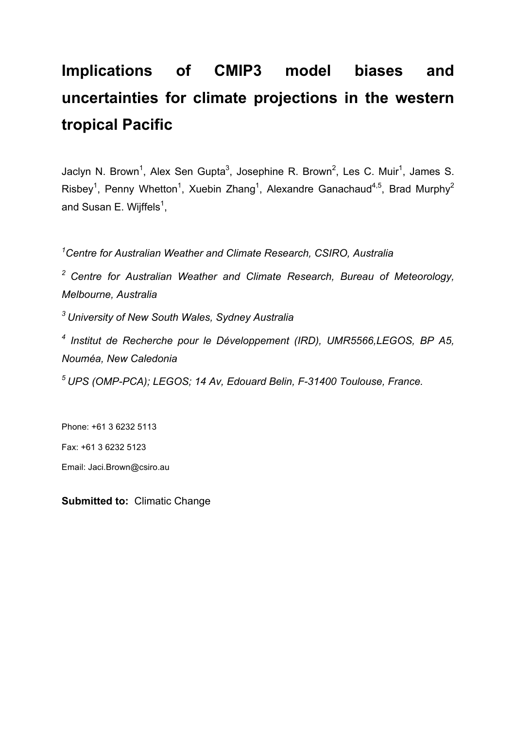# **Implications of CMIP3 model biases and uncertainties for climate projections in the western tropical Pacific**

Jaclyn N. Brown<sup>1</sup>, Alex Sen Gupta<sup>3</sup>, Josephine R. Brown<sup>2</sup>, Les C. Muir<sup>1</sup>, James S. Risbey<sup>1</sup>, Penny Whetton<sup>1</sup>, Xuebin Zhang<sup>1</sup>, Alexandre Ganachaud<sup>4,5</sup>, Brad Murphy<sup>2</sup> and Susan E. Wijffels<sup>1</sup>,

*1 Centre for Australian Weather and Climate Research, CSIRO, Australia*

*<sup>2</sup> Centre for Australian Weather and Climate Research, Bureau of Meteorology, Melbourne, Australia*

*3 University of New South Wales, Sydney Australia*

*<sup>4</sup> Institut de Recherche pour le Développement (IRD), UMR5566,LEGOS, BP A5, Nouméa, New Caledonia*

*<sup>5</sup> UPS (OMP-PCA); LEGOS; 14 Av, Edouard Belin, F-31400 Toulouse, France.*

Phone: +61 3 6232 5113 Fax: +61 3 6232 5123

Email: Jaci.Brown@csiro.au

**Submitted to:** Climatic Change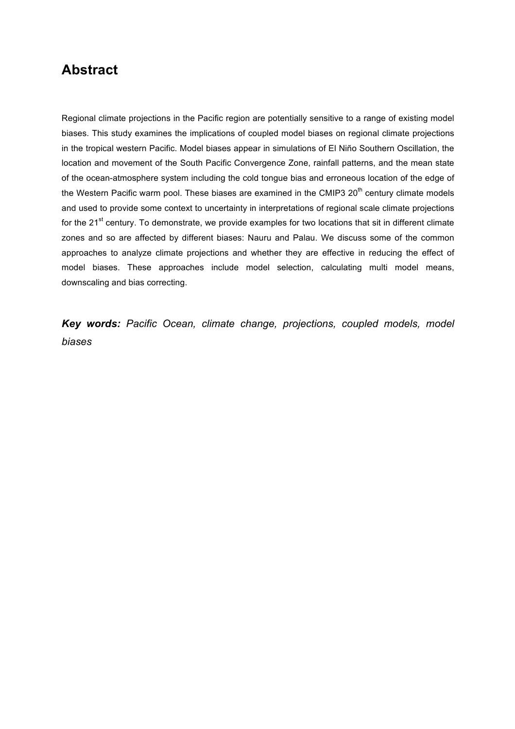## **Abstract**

Regional climate projections in the Pacific region are potentially sensitive to a range of existing model biases. This study examines the implications of coupled model biases on regional climate projections in the tropical western Pacific. Model biases appear in simulations of El Niño Southern Oscillation, the location and movement of the South Pacific Convergence Zone, rainfall patterns, and the mean state of the ocean-atmosphere system including the cold tongue bias and erroneous location of the edge of the Western Pacific warm pool. These biases are examined in the CMIP3 20<sup>th</sup> century climate models and used to provide some context to uncertainty in interpretations of regional scale climate projections for the  $21<sup>st</sup>$  century. To demonstrate, we provide examples for two locations that sit in different climate zones and so are affected by different biases: Nauru and Palau. We discuss some of the common approaches to analyze climate projections and whether they are effective in reducing the effect of model biases. These approaches include model selection, calculating multi model means, downscaling and bias correcting.

*Key words: Pacific Ocean, climate change, projections, coupled models, model biases*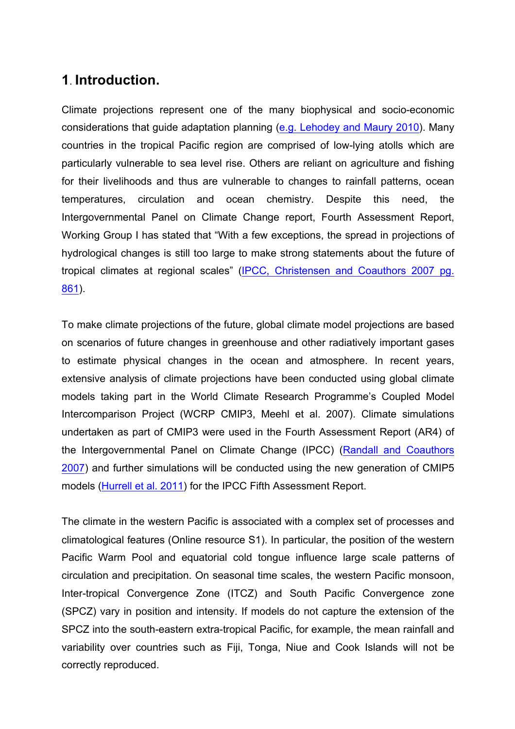## **1**. **Introduction.**

Climate projections represent one of the many biophysical and socio-economic considerations that guide adaptation planning (e.g. Lehodey and Maury 2010). Many countries in the tropical Pacific region are comprised of low-lying atolls which are particularly vulnerable to sea level rise. Others are reliant on agriculture and fishing for their livelihoods and thus are vulnerable to changes to rainfall patterns, ocean temperatures, circulation and ocean chemistry. Despite this need, the Intergovernmental Panel on Climate Change report, Fourth Assessment Report, Working Group I has stated that "With a few exceptions, the spread in projections of hydrological changes is still too large to make strong statements about the future of tropical climates at regional scales" (IPCC, Christensen and Coauthors 2007 pg. 861).

To make climate projections of the future, global climate model projections are based on scenarios of future changes in greenhouse and other radiatively important gases to estimate physical changes in the ocean and atmosphere. In recent years, extensive analysis of climate projections have been conducted using global climate models taking part in the World Climate Research Programme's Coupled Model Intercomparison Project (WCRP CMIP3, Meehl et al. 2007). Climate simulations undertaken as part of CMIP3 were used in the Fourth Assessment Report (AR4) of the Intergovernmental Panel on Climate Change (IPCC) (Randall and Coauthors 2007) and further simulations will be conducted using the new generation of CMIP5 models (Hurrell et al. 2011) for the IPCC Fifth Assessment Report.

The climate in the western Pacific is associated with a complex set of processes and climatological features (Online resource S1). In particular, the position of the western Pacific Warm Pool and equatorial cold tongue influence large scale patterns of circulation and precipitation. On seasonal time scales, the western Pacific monsoon, Inter-tropical Convergence Zone (ITCZ) and South Pacific Convergence zone (SPCZ) vary in position and intensity. If models do not capture the extension of the SPCZ into the south-eastern extra-tropical Pacific, for example, the mean rainfall and variability over countries such as Fiji, Tonga, Niue and Cook Islands will not be correctly reproduced.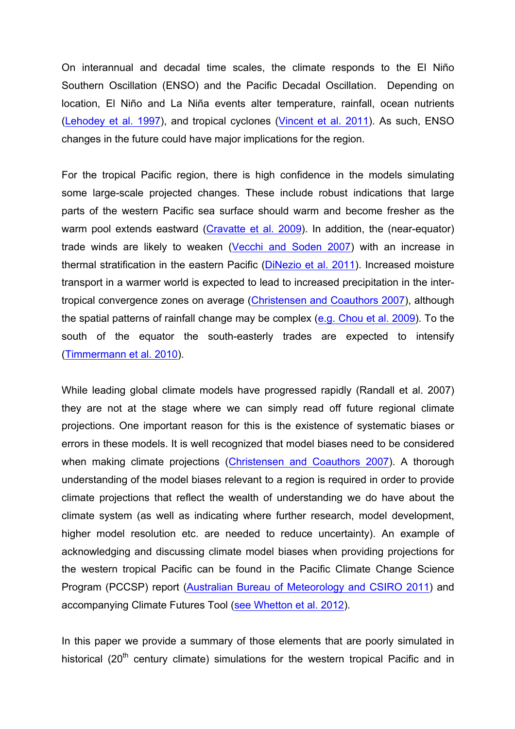On interannual and decadal time scales, the climate responds to the El Niño Southern Oscillation (ENSO) and the Pacific Decadal Oscillation. Depending on location, El Niño and La Niña events alter temperature, rainfall, ocean nutrients (Lehodey et al. 1997), and tropical cyclones (Vincent et al. 2011). As such, ENSO changes in the future could have major implications for the region.

For the tropical Pacific region, there is high confidence in the models simulating some large-scale projected changes. These include robust indications that large parts of the western Pacific sea surface should warm and become fresher as the warm pool extends eastward (Cravatte et al. 2009). In addition, the (near-equator) trade winds are likely to weaken (Vecchi and Soden 2007) with an increase in thermal stratification in the eastern Pacific (DiNezio et al. 2011). Increased moisture transport in a warmer world is expected to lead to increased precipitation in the intertropical convergence zones on average (Christensen and Coauthors 2007), although the spatial patterns of rainfall change may be complex (e.g. Chou et al. 2009). To the south of the equator the south-easterly trades are expected to intensify (Timmermann et al. 2010).

While leading global climate models have progressed rapidly (Randall et al. 2007) they are not at the stage where we can simply read off future regional climate projections. One important reason for this is the existence of systematic biases or errors in these models. It is well recognized that model biases need to be considered when making climate projections (Christensen and Coauthors 2007). A thorough understanding of the model biases relevant to a region is required in order to provide climate projections that reflect the wealth of understanding we do have about the climate system (as well as indicating where further research, model development, higher model resolution etc. are needed to reduce uncertainty). An example of acknowledging and discussing climate model biases when providing projections for the western tropical Pacific can be found in the Pacific Climate Change Science Program (PCCSP) report (Australian Bureau of Meteorology and CSIRO 2011) and accompanying Climate Futures Tool (see Whetton et al. 2012).

In this paper we provide a summary of those elements that are poorly simulated in historical  $(20<sup>th</sup>$  century climate) simulations for the western tropical Pacific and in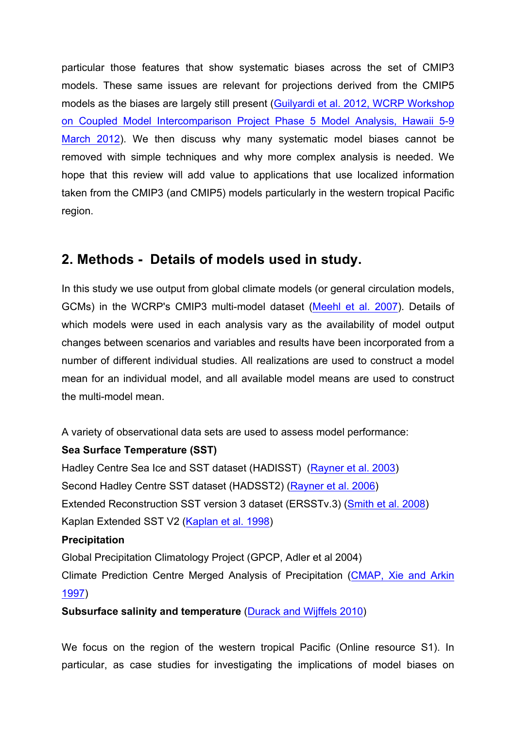particular those features that show systematic biases across the set of CMIP3 models. These same issues are relevant for projections derived from the CMIP5 models as the biases are largely still present (Guilyardi et al. 2012, WCRP Workshop on Coupled Model Intercomparison Project Phase 5 Model Analysis, Hawaii 5-9 March 2012). We then discuss why many systematic model biases cannot be removed with simple techniques and why more complex analysis is needed. We hope that this review will add value to applications that use localized information taken from the CMIP3 (and CMIP5) models particularly in the western tropical Pacific region.

## **2. Methods - Details of models used in study.**

In this study we use output from global climate models (or general circulation models, GCMs) in the WCRP's CMIP3 multi-model dataset (Meehl et al. 2007). Details of which models were used in each analysis vary as the availability of model output changes between scenarios and variables and results have been incorporated from a number of different individual studies. All realizations are used to construct a model mean for an individual model, and all available model means are used to construct the multi-model mean.

A variety of observational data sets are used to assess model performance:

## **Sea Surface Temperature (SST)**

Hadley Centre Sea Ice and SST dataset (HADISST) (Rayner et al. 2003) Second Hadley Centre SST dataset (HADSST2) (Rayner et al. 2006) Extended Reconstruction SST version 3 dataset (ERSSTv.3) (Smith et al. 2008) Kaplan Extended SST V2 (Kaplan et al. 1998)

## **Precipitation**

Global Precipitation Climatology Project (GPCP, Adler et al 2004) Climate Prediction Centre Merged Analysis of Precipitation (CMAP, Xie and Arkin 1997)

## **Subsurface salinity and temperature** (Durack and Wijffels 2010)

We focus on the region of the western tropical Pacific (Online resource S1). In particular, as case studies for investigating the implications of model biases on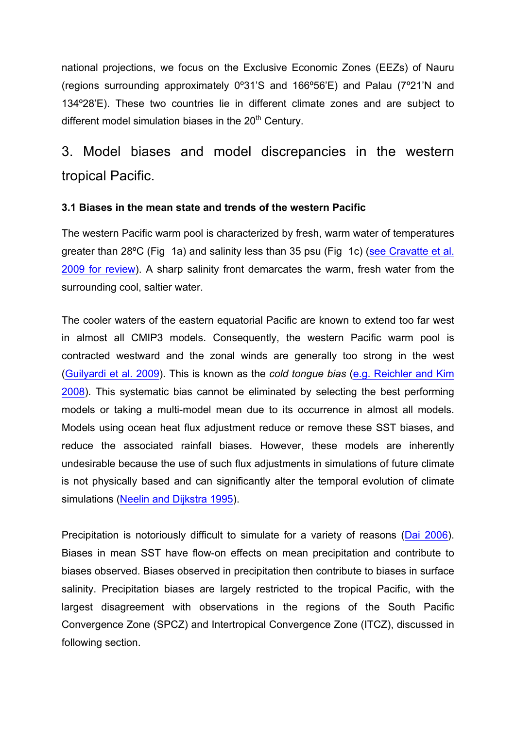national projections, we focus on the Exclusive Economic Zones (EEZs) of Nauru (regions surrounding approximately 0º31'S and 166º56'E) and Palau (7º21'N and 134º28'E). These two countries lie in different climate zones and are subject to different model simulation biases in the  $20<sup>th</sup>$  Century.

## 3. Model biases and model discrepancies in the western tropical Pacific.

## **3.1 Biases in the mean state and trends of the western Pacific**

The western Pacific warm pool is characterized by fresh, warm water of temperatures greater than 28ºC (Fig 1a) and salinity less than 35 psu (Fig 1c) (see Cravatte et al. 2009 for review). A sharp salinity front demarcates the warm, fresh water from the surrounding cool, saltier water.

The cooler waters of the eastern equatorial Pacific are known to extend too far west in almost all CMIP3 models. Consequently, the western Pacific warm pool is contracted westward and the zonal winds are generally too strong in the west (Guilyardi et al. 2009). This is known as the *cold tongue bias* (e.g. Reichler and Kim 2008). This systematic bias cannot be eliminated by selecting the best performing models or taking a multi-model mean due to its occurrence in almost all models. Models using ocean heat flux adjustment reduce or remove these SST biases, and reduce the associated rainfall biases. However, these models are inherently undesirable because the use of such flux adjustments in simulations of future climate is not physically based and can significantly alter the temporal evolution of climate simulations (Neelin and Dijkstra 1995).

Precipitation is notoriously difficult to simulate for a variety of reasons (Dai 2006). Biases in mean SST have flow-on effects on mean precipitation and contribute to biases observed. Biases observed in precipitation then contribute to biases in surface salinity. Precipitation biases are largely restricted to the tropical Pacific, with the largest disagreement with observations in the regions of the South Pacific Convergence Zone (SPCZ) and Intertropical Convergence Zone (ITCZ), discussed in following section.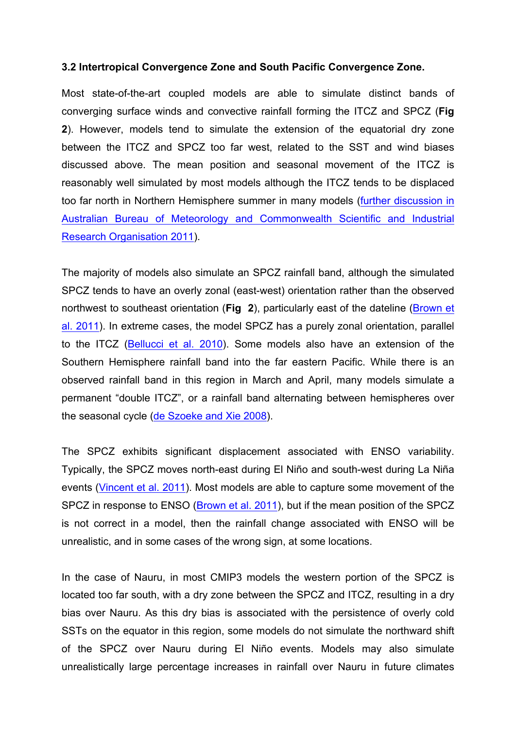#### **3.2 Intertropical Convergence Zone and South Pacific Convergence Zone.**

Most state-of-the-art coupled models are able to simulate distinct bands of converging surface winds and convective rainfall forming the ITCZ and SPCZ (**Fig 2**). However, models tend to simulate the extension of the equatorial dry zone between the ITCZ and SPCZ too far west, related to the SST and wind biases discussed above. The mean position and seasonal movement of the ITCZ is reasonably well simulated by most models although the ITCZ tends to be displaced too far north in Northern Hemisphere summer in many models (further discussion in Australian Bureau of Meteorology and Commonwealth Scientific and Industrial Research Organisation 2011).

The majority of models also simulate an SPCZ rainfall band, although the simulated SPCZ tends to have an overly zonal (east-west) orientation rather than the observed northwest to southeast orientation (**Fig 2**), particularly east of the dateline (Brown et al. 2011). In extreme cases, the model SPCZ has a purely zonal orientation, parallel to the ITCZ (Bellucci et al. 2010). Some models also have an extension of the Southern Hemisphere rainfall band into the far eastern Pacific. While there is an observed rainfall band in this region in March and April, many models simulate a permanent "double ITCZ", or a rainfall band alternating between hemispheres over the seasonal cycle (de Szoeke and Xie 2008).

The SPCZ exhibits significant displacement associated with ENSO variability. Typically, the SPCZ moves north-east during El Niño and south-west during La Niña events (Vincent et al. 2011). Most models are able to capture some movement of the SPCZ in response to ENSO (Brown et al. 2011), but if the mean position of the SPCZ is not correct in a model, then the rainfall change associated with ENSO will be unrealistic, and in some cases of the wrong sign, at some locations.

In the case of Nauru, in most CMIP3 models the western portion of the SPCZ is located too far south, with a dry zone between the SPCZ and ITCZ, resulting in a dry bias over Nauru. As this dry bias is associated with the persistence of overly cold SSTs on the equator in this region, some models do not simulate the northward shift of the SPCZ over Nauru during El Niño events. Models may also simulate unrealistically large percentage increases in rainfall over Nauru in future climates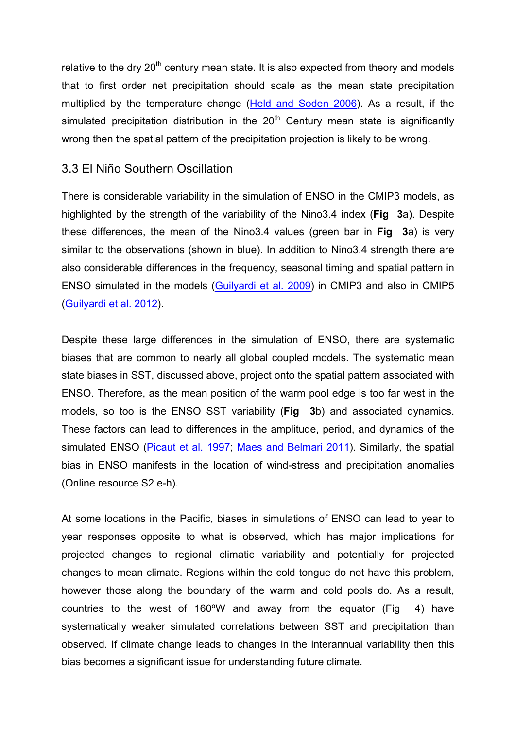relative to the dry  $20<sup>th</sup>$  century mean state. It is also expected from theory and models that to first order net precipitation should scale as the mean state precipitation multiplied by the temperature change (Held and Soden 2006). As a result, if the simulated precipitation distribution in the  $20<sup>th</sup>$  Century mean state is significantly wrong then the spatial pattern of the precipitation projection is likely to be wrong.

## 3.3 El Niño Southern Oscillation

There is considerable variability in the simulation of ENSO in the CMIP3 models, as highlighted by the strength of the variability of the Nino3.4 index (**Fig 3**a). Despite these differences, the mean of the Nino3.4 values (green bar in **Fig 3**a) is very similar to the observations (shown in blue). In addition to Nino3.4 strength there are also considerable differences in the frequency, seasonal timing and spatial pattern in ENSO simulated in the models (Guilyardi et al. 2009) in CMIP3 and also in CMIP5 (Guilyardi et al. 2012).

Despite these large differences in the simulation of ENSO, there are systematic biases that are common to nearly all global coupled models. The systematic mean state biases in SST, discussed above, project onto the spatial pattern associated with ENSO. Therefore, as the mean position of the warm pool edge is too far west in the models, so too is the ENSO SST variability (**Fig 3**b) and associated dynamics. These factors can lead to differences in the amplitude, period, and dynamics of the simulated ENSO (Picaut et al. 1997; Maes and Belmari 2011). Similarly, the spatial bias in ENSO manifests in the location of wind-stress and precipitation anomalies (Online resource S2 e-h).

At some locations in the Pacific, biases in simulations of ENSO can lead to year to year responses opposite to what is observed, which has major implications for projected changes to regional climatic variability and potentially for projected changes to mean climate. Regions within the cold tongue do not have this problem, however those along the boundary of the warm and cold pools do. As a result, countries to the west of 160ºW and away from the equator (Fig 4) have systematically weaker simulated correlations between SST and precipitation than observed. If climate change leads to changes in the interannual variability then this bias becomes a significant issue for understanding future climate.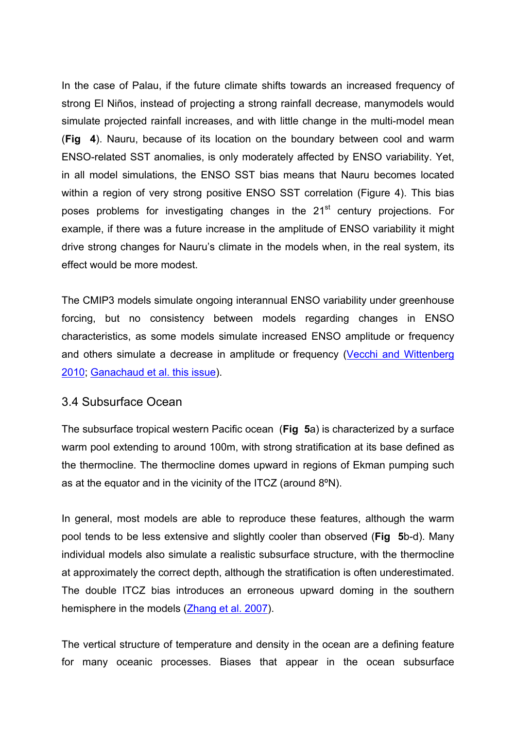In the case of Palau, if the future climate shifts towards an increased frequency of strong El Niños, instead of projecting a strong rainfall decrease, manymodels would simulate projected rainfall increases, and with little change in the multi-model mean (**Fig 4**). Nauru, because of its location on the boundary between cool and warm ENSO-related SST anomalies, is only moderately affected by ENSO variability. Yet, in all model simulations, the ENSO SST bias means that Nauru becomes located within a region of very strong positive ENSO SST correlation (Figure 4). This bias poses problems for investigating changes in the  $21<sup>st</sup>$  century projections. For example, if there was a future increase in the amplitude of ENSO variability it might drive strong changes for Nauru's climate in the models when, in the real system, its effect would be more modest.

The CMIP3 models simulate ongoing interannual ENSO variability under greenhouse forcing, but no consistency between models regarding changes in ENSO characteristics, as some models simulate increased ENSO amplitude or frequency and others simulate a decrease in amplitude or frequency (Vecchi and Wittenberg 2010; Ganachaud et al. this issue).

## 3.4 Subsurface Ocean

The subsurface tropical western Pacific ocean (**Fig 5**a) is characterized by a surface warm pool extending to around 100m, with strong stratification at its base defined as the thermocline. The thermocline domes upward in regions of Ekman pumping such as at the equator and in the vicinity of the ITCZ (around 8ºN).

In general, most models are able to reproduce these features, although the warm pool tends to be less extensive and slightly cooler than observed (**Fig 5**b-d). Many individual models also simulate a realistic subsurface structure, with the thermocline at approximately the correct depth, although the stratification is often underestimated. The double ITCZ bias introduces an erroneous upward doming in the southern hemisphere in the models (Zhang et al. 2007).

The vertical structure of temperature and density in the ocean are a defining feature for many oceanic processes. Biases that appear in the ocean subsurface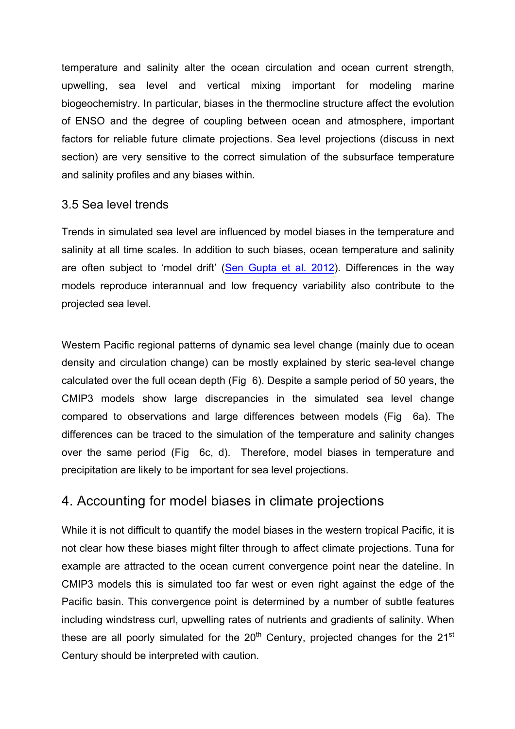temperature and salinity alter the ocean circulation and ocean current strength, upwelling, sea level and vertical mixing important for modeling marine biogeochemistry. In particular, biases in the thermocline structure affect the evolution of ENSO and the degree of coupling between ocean and atmosphere, important factors for reliable future climate projections. Sea level projections (discuss in next section) are very sensitive to the correct simulation of the subsurface temperature and salinity profiles and any biases within.

## 3.5 Sea level trends

Trends in simulated sea level are influenced by model biases in the temperature and salinity at all time scales. In addition to such biases, ocean temperature and salinity are often subject to 'model drift' (Sen Gupta et al. 2012). Differences in the way models reproduce interannual and low frequency variability also contribute to the projected sea level.

Western Pacific regional patterns of dynamic sea level change (mainly due to ocean density and circulation change) can be mostly explained by steric sea-level change calculated over the full ocean depth (Fig 6). Despite a sample period of 50 years, the CMIP3 models show large discrepancies in the simulated sea level change compared to observations and large differences between models (Fig 6a). The differences can be traced to the simulation of the temperature and salinity changes over the same period (Fig 6c, d). Therefore, model biases in temperature and precipitation are likely to be important for sea level projections.

## 4. Accounting for model biases in climate projections

While it is not difficult to quantify the model biases in the western tropical Pacific, it is not clear how these biases might filter through to affect climate projections. Tuna for example are attracted to the ocean current convergence point near the dateline. In CMIP3 models this is simulated too far west or even right against the edge of the Pacific basin. This convergence point is determined by a number of subtle features including windstress curl, upwelling rates of nutrients and gradients of salinity. When these are all poorly simulated for the  $20<sup>th</sup>$  Century, projected changes for the  $21<sup>st</sup>$ Century should be interpreted with caution.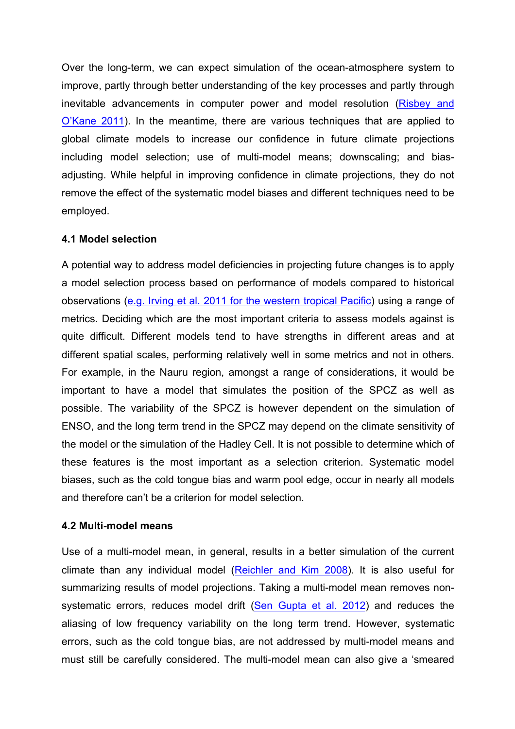Over the long-term, we can expect simulation of the ocean-atmosphere system to improve, partly through better understanding of the key processes and partly through inevitable advancements in computer power and model resolution (Risbey and O'Kane 2011). In the meantime, there are various techniques that are applied to global climate models to increase our confidence in future climate projections including model selection; use of multi-model means; downscaling; and biasadjusting. While helpful in improving confidence in climate projections, they do not remove the effect of the systematic model biases and different techniques need to be employed.

## **4.1 Model selection**

A potential way to address model deficiencies in projecting future changes is to apply a model selection process based on performance of models compared to historical observations (e.g. Irving et al. 2011 for the western tropical Pacific) using a range of metrics. Deciding which are the most important criteria to assess models against is quite difficult. Different models tend to have strengths in different areas and at different spatial scales, performing relatively well in some metrics and not in others. For example, in the Nauru region, amongst a range of considerations, it would be important to have a model that simulates the position of the SPCZ as well as possible. The variability of the SPCZ is however dependent on the simulation of ENSO, and the long term trend in the SPCZ may depend on the climate sensitivity of the model or the simulation of the Hadley Cell. It is not possible to determine which of these features is the most important as a selection criterion. Systematic model biases, such as the cold tongue bias and warm pool edge, occur in nearly all models and therefore can't be a criterion for model selection.

#### **4.2 Multi-model means**

Use of a multi-model mean, in general, results in a better simulation of the current climate than any individual model (Reichler and Kim 2008). It is also useful for summarizing results of model projections. Taking a multi-model mean removes nonsystematic errors, reduces model drift (Sen Gupta et al. 2012) and reduces the aliasing of low frequency variability on the long term trend. However, systematic errors, such as the cold tongue bias, are not addressed by multi-model means and must still be carefully considered. The multi-model mean can also give a 'smeared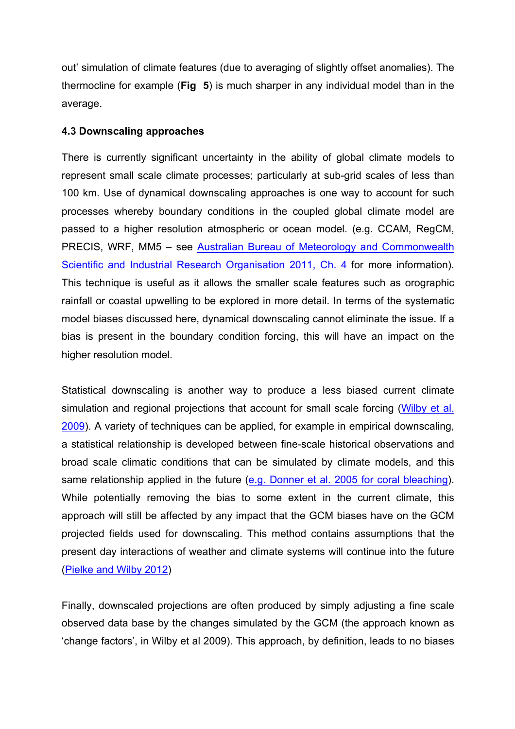out' simulation of climate features (due to averaging of slightly offset anomalies). The thermocline for example (**Fig 5**) is much sharper in any individual model than in the average.

#### **4.3 Downscaling approaches**

There is currently significant uncertainty in the ability of global climate models to represent small scale climate processes; particularly at sub-grid scales of less than 100 km. Use of dynamical downscaling approaches is one way to account for such processes whereby boundary conditions in the coupled global climate model are passed to a higher resolution atmospheric or ocean model. (e.g. CCAM, RegCM, PRECIS, WRF, MM5 – see Australian Bureau of Meteorology and Commonwealth Scientific and Industrial Research Organisation 2011, Ch. 4 for more information). This technique is useful as it allows the smaller scale features such as orographic rainfall or coastal upwelling to be explored in more detail. In terms of the systematic model biases discussed here, dynamical downscaling cannot eliminate the issue. If a bias is present in the boundary condition forcing, this will have an impact on the higher resolution model.

Statistical downscaling is another way to produce a less biased current climate simulation and regional projections that account for small scale forcing (Wilby et al. 2009). A variety of techniques can be applied, for example in empirical downscaling, a statistical relationship is developed between fine-scale historical observations and broad scale climatic conditions that can be simulated by climate models, and this same relationship applied in the future (e.g. Donner et al. 2005 for coral bleaching). While potentially removing the bias to some extent in the current climate, this approach will still be affected by any impact that the GCM biases have on the GCM projected fields used for downscaling. This method contains assumptions that the present day interactions of weather and climate systems will continue into the future (Pielke and Wilby 2012)

Finally, downscaled projections are often produced by simply adjusting a fine scale observed data base by the changes simulated by the GCM (the approach known as 'change factors', in Wilby et al 2009). This approach, by definition, leads to no biases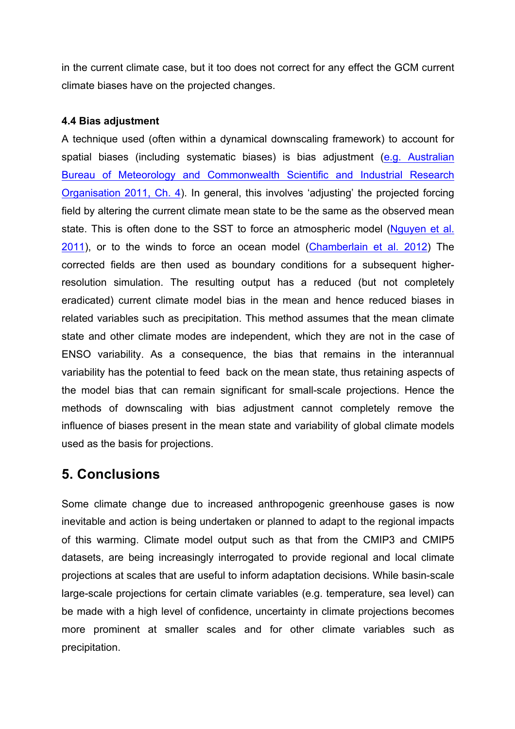in the current climate case, but it too does not correct for any effect the GCM current climate biases have on the projected changes.

#### **4.4 Bias adjustment**

A technique used (often within a dynamical downscaling framework) to account for spatial biases (including systematic biases) is bias adjustment (e.g. Australian Bureau of Meteorology and Commonwealth Scientific and Industrial Research Organisation 2011, Ch. 4). In general, this involves 'adjusting' the projected forcing field by altering the current climate mean state to be the same as the observed mean state. This is often done to the SST to force an atmospheric model (Nguyen et al. 2011), or to the winds to force an ocean model (Chamberlain et al. 2012) The corrected fields are then used as boundary conditions for a subsequent higherresolution simulation. The resulting output has a reduced (but not completely eradicated) current climate model bias in the mean and hence reduced biases in related variables such as precipitation. This method assumes that the mean climate state and other climate modes are independent, which they are not in the case of ENSO variability. As a consequence, the bias that remains in the interannual variability has the potential to feed back on the mean state, thus retaining aspects of the model bias that can remain significant for small-scale projections. Hence the methods of downscaling with bias adjustment cannot completely remove the influence of biases present in the mean state and variability of global climate models used as the basis for projections.

## **5. Conclusions**

Some climate change due to increased anthropogenic greenhouse gases is now inevitable and action is being undertaken or planned to adapt to the regional impacts of this warming. Climate model output such as that from the CMIP3 and CMIP5 datasets, are being increasingly interrogated to provide regional and local climate projections at scales that are useful to inform adaptation decisions. While basin-scale large-scale projections for certain climate variables (e.g. temperature, sea level) can be made with a high level of confidence, uncertainty in climate projections becomes more prominent at smaller scales and for other climate variables such as precipitation.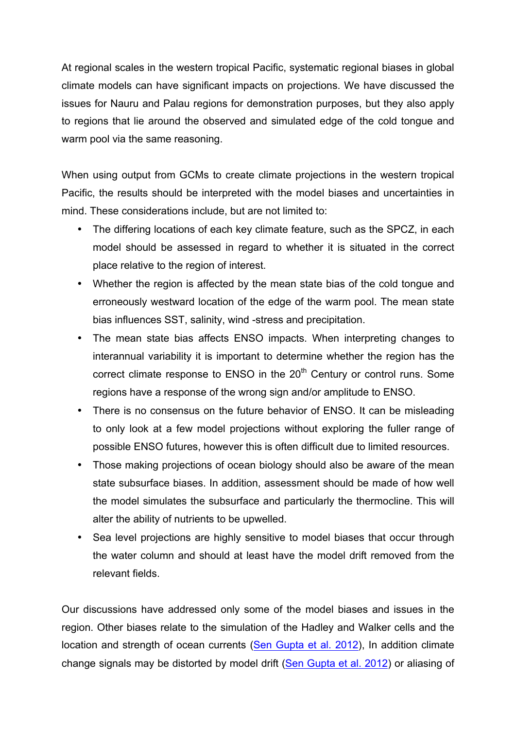At regional scales in the western tropical Pacific, systematic regional biases in global climate models can have significant impacts on projections. We have discussed the issues for Nauru and Palau regions for demonstration purposes, but they also apply to regions that lie around the observed and simulated edge of the cold tongue and warm pool via the same reasoning.

When using output from GCMs to create climate projections in the western tropical Pacific, the results should be interpreted with the model biases and uncertainties in mind. These considerations include, but are not limited to:

- The differing locations of each key climate feature, such as the SPCZ, in each model should be assessed in regard to whether it is situated in the correct place relative to the region of interest.
- Whether the region is affected by the mean state bias of the cold tongue and erroneously westward location of the edge of the warm pool. The mean state bias influences SST, salinity, wind -stress and precipitation.
- The mean state bias affects ENSO impacts. When interpreting changes to interannual variability it is important to determine whether the region has the correct climate response to  $ENSO$  in the  $20<sup>th</sup>$  Century or control runs. Some regions have a response of the wrong sign and/or amplitude to ENSO.
- There is no consensus on the future behavior of ENSO. It can be misleading to only look at a few model projections without exploring the fuller range of possible ENSO futures, however this is often difficult due to limited resources.
- Those making projections of ocean biology should also be aware of the mean state subsurface biases. In addition, assessment should be made of how well the model simulates the subsurface and particularly the thermocline. This will alter the ability of nutrients to be upwelled.
- Sea level projections are highly sensitive to model biases that occur through the water column and should at least have the model drift removed from the relevant fields.

Our discussions have addressed only some of the model biases and issues in the region. Other biases relate to the simulation of the Hadley and Walker cells and the location and strength of ocean currents (Sen Gupta et al. 2012), In addition climate change signals may be distorted by model drift (Sen Gupta et al. 2012) or aliasing of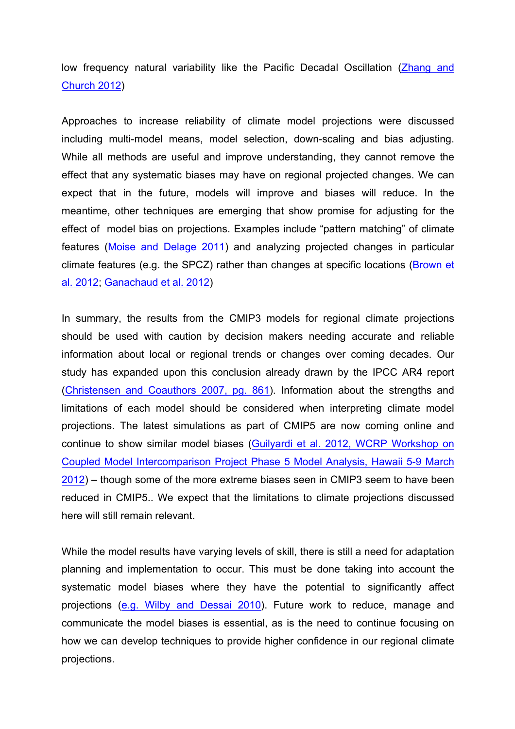low frequency natural variability like the Pacific Decadal Oscillation (Zhang and Church 2012)

Approaches to increase reliability of climate model projections were discussed including multi-model means, model selection, down-scaling and bias adjusting. While all methods are useful and improve understanding, they cannot remove the effect that any systematic biases may have on regional projected changes. We can expect that in the future, models will improve and biases will reduce. In the meantime, other techniques are emerging that show promise for adjusting for the effect of model bias on projections. Examples include "pattern matching" of climate features (Moise and Delage 2011) and analyzing projected changes in particular climate features (e.g. the SPCZ) rather than changes at specific locations (Brown et al. 2012; Ganachaud et al. 2012)

In summary, the results from the CMIP3 models for regional climate projections should be used with caution by decision makers needing accurate and reliable information about local or regional trends or changes over coming decades. Our study has expanded upon this conclusion already drawn by the IPCC AR4 report (Christensen and Coauthors 2007, pg. 861). Information about the strengths and limitations of each model should be considered when interpreting climate model projections. The latest simulations as part of CMIP5 are now coming online and continue to show similar model biases (Guilyardi et al. 2012, WCRP Workshop on Coupled Model Intercomparison Project Phase 5 Model Analysis, Hawaii 5-9 March 2012) – though some of the more extreme biases seen in CMIP3 seem to have been reduced in CMIP5.. We expect that the limitations to climate projections discussed here will still remain relevant.

While the model results have varying levels of skill, there is still a need for adaptation planning and implementation to occur. This must be done taking into account the systematic model biases where they have the potential to significantly affect projections (e.g. Wilby and Dessai 2010). Future work to reduce, manage and communicate the model biases is essential, as is the need to continue focusing on how we can develop techniques to provide higher confidence in our regional climate projections.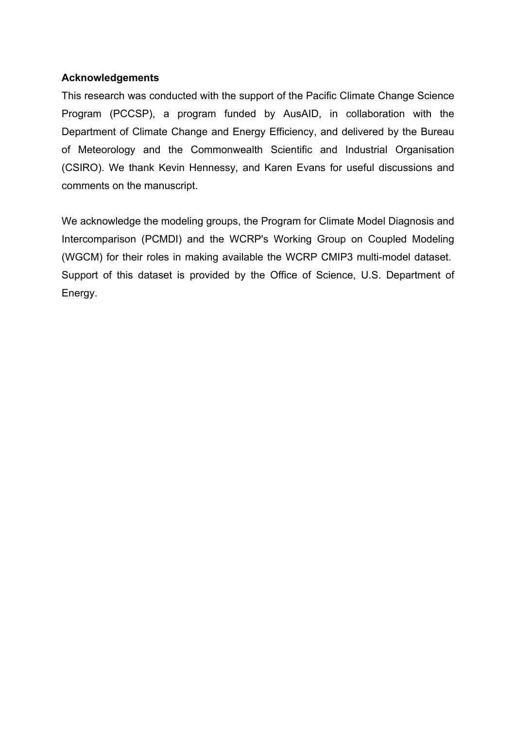## **Acknowledgements**

This research was conducted with the support of the Pacific Climate Change Science Program (PCCSP), a program funded by AusAID, in collaboration with the Department of Climate Change and Energy Efficiency, and delivered by the Bureau of Meteorology and the Commonwealth Scientific and Industrial Organisation (CSIRO). We thank Kevin Hennessy, and Karen Evans for useful discussions and comments on the manuscript.

We acknowledge the modeling groups, the Program for Climate Model Diagnosis and Intercomparison (PCMDI) and the WCRP's Working Group on Coupled Modeling (WGCM) for their roles in making available the WCRP CMIP3 multi-model dataset. Support of this dataset is provided by the Office of Science, U.S. Department of Energy.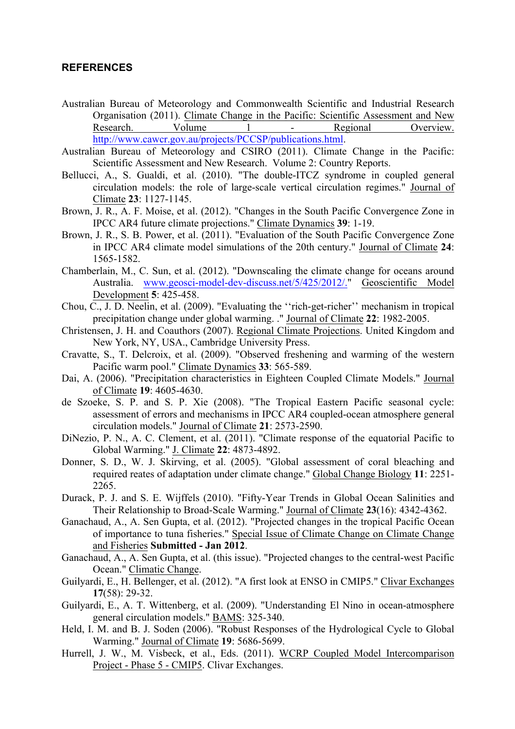#### **REFERENCES**

- Australian Bureau of Meteorology and Commonwealth Scientific and Industrial Research Organisation (2011). Climate Change in the Pacific: Scientific Assessment and New Research. Volume 1 - Regional Overview. Research. Volume 1 - Regional Overview. http://www.cawcr.gov.au/projects/PCCSP/publications.html.
- Australian Bureau of Meteorology and CSIRO (2011). Climate Change in the Pacific: Scientific Assessment and New Research. Volume 2: Country Reports.
- Bellucci, A., S. Gualdi, et al. (2010). "The double-ITCZ syndrome in coupled general circulation models: the role of large-scale vertical circulation regimes." Journal of Climate **23**: 1127-1145.
- Brown, J. R., A. F. Moise, et al. (2012). "Changes in the South Pacific Convergence Zone in IPCC AR4 future climate projections." Climate Dynamics **39**: 1-19.
- Brown, J. R., S. B. Power, et al. (2011). "Evaluation of the South Pacific Convergence Zone in IPCC AR4 climate model simulations of the 20th century." Journal of Climate **24**: 1565-1582.
- Chamberlain, M., C. Sun, et al. (2012). "Downscaling the climate change for oceans around Australia. www.geosci-model-dev-discuss.net/5/425/2012/." Geoscientific Model Development **5**: 425-458.
- Chou, C., J. D. Neelin, et al. (2009). "Evaluating the ''rich-get-richer'' mechanism in tropical precipitation change under global warming. ." Journal of Climate **22**: 1982-2005.
- Christensen, J. H. and Coauthors (2007). Regional Climate Projections. United Kingdom and New York, NY, USA., Cambridge University Press.
- Cravatte, S., T. Delcroix, et al. (2009). "Observed freshening and warming of the western Pacific warm pool." Climate Dynamics **33**: 565-589.
- Dai, A. (2006). "Precipitation characteristics in Eighteen Coupled Climate Models." Journal of Climate **19**: 4605-4630.
- de Szoeke, S. P. and S. P. Xie (2008). "The Tropical Eastern Pacific seasonal cycle: assessment of errors and mechanisms in IPCC AR4 coupled-ocean atmosphere general circulation models." Journal of Climate **21**: 2573-2590.
- DiNezio, P. N., A. C. Clement, et al. (2011). "Climate response of the equatorial Pacific to Global Warming." J. Climate **22**: 4873-4892.
- Donner, S. D., W. J. Skirving, et al. (2005). "Global assessment of coral bleaching and required reates of adaptation under climate change." Global Change Biology **11**: 2251- 2265.
- Durack, P. J. and S. E. Wijffels (2010). "Fifty-Year Trends in Global Ocean Salinities and Their Relationship to Broad-Scale Warming." Journal of Climate **23**(16): 4342-4362.
- Ganachaud, A., A. Sen Gupta, et al. (2012). "Projected changes in the tropical Pacific Ocean of importance to tuna fisheries." Special Issue of Climate Change on Climate Change and Fisheries **Submitted - Jan 2012**.
- Ganachaud, A., A. Sen Gupta, et al. (this issue). "Projected changes to the central-west Pacific Ocean." Climatic Change.
- Guilyardi, E., H. Bellenger, et al. (2012). "A first look at ENSO in CMIP5." Clivar Exchanges **17**(58): 29-32.
- Guilyardi, E., A. T. Wittenberg, et al. (2009). "Understanding El Nino in ocean-atmosphere general circulation models." BAMS: 325-340.
- Held, I. M. and B. J. Soden (2006). "Robust Responses of the Hydrological Cycle to Global Warming." Journal of Climate **19**: 5686-5699.
- Hurrell, J. W., M. Visbeck, et al., Eds. (2011). WCRP Coupled Model Intercomparison Project - Phase 5 - CMIP5. Clivar Exchanges.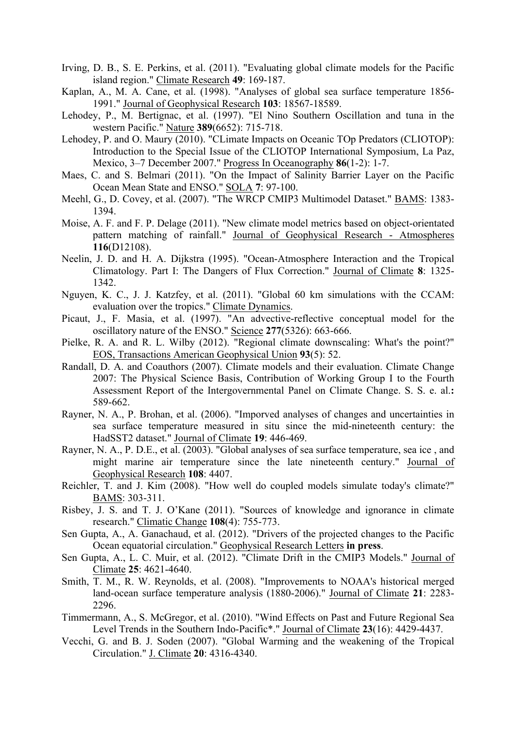- Irving, D. B., S. E. Perkins, et al. (2011). "Evaluating global climate models for the Pacific island region." Climate Research **49**: 169-187.
- Kaplan, A., M. A. Cane, et al. (1998). "Analyses of global sea surface temperature 1856- 1991." Journal of Geophysical Research **103**: 18567-18589.
- Lehodey, P., M. Bertignac, et al. (1997). "El Nino Southern Oscillation and tuna in the western Pacific." Nature **389**(6652): 715-718.
- Lehodey, P. and O. Maury (2010). "CLimate Impacts on Oceanic TOp Predators (CLIOTOP): Introduction to the Special Issue of the CLIOTOP International Symposium, La Paz, Mexico, 3–7 December 2007." Progress In Oceanography **86**(1-2): 1-7.
- Maes, C. and S. Belmari (2011). "On the Impact of Salinity Barrier Layer on the Pacific Ocean Mean State and ENSO." SOLA **7**: 97-100.
- Meehl, G., D. Covey, et al. (2007). "The WRCP CMIP3 Multimodel Dataset." BAMS: 1383- 1394.
- Moise, A. F. and F. P. Delage (2011). "New climate model metrics based on object-orientated pattern matching of rainfall." Journal of Geophysical Research - Atmospheres **116**(D12108).
- Neelin, J. D. and H. A. Dijkstra (1995). "Ocean-Atmosphere Interaction and the Tropical Climatology. Part I: The Dangers of Flux Correction." Journal of Climate **8**: 1325- 1342.
- Nguyen, K. C., J. J. Katzfey, et al. (2011). "Global 60 km simulations with the CCAM: evaluation over the tropics." Climate Dynamics.
- Picaut, J., F. Masia, et al. (1997). "An advective-reflective conceptual model for the oscillatory nature of the ENSO." Science **277**(5326): 663-666.
- Pielke, R. A. and R. L. Wilby (2012). "Regional climate downscaling: What's the point?" EOS, Transactions American Geophysical Union **93**(5): 52.
- Randall, D. A. and Coauthors (2007). Climate models and their evaluation. Climate Change 2007: The Physical Science Basis, Contribution of Working Group I to the Fourth Assessment Report of the Intergovernmental Panel on Climate Change. S. S. e. al.**:**  589-662.
- Rayner, N. A., P. Brohan, et al. (2006). "Imporved analyses of changes and uncertainties in sea surface temperature measured in situ since the mid-nineteenth century: the HadSST2 dataset." Journal of Climate **19**: 446-469.
- Rayner, N. A., P. D.E., et al. (2003). "Global analyses of sea surface temperature, sea ice , and might marine air temperature since the late nineteenth century." Journal of Geophysical Research **108**: 4407.
- Reichler, T. and J. Kim (2008). "How well do coupled models simulate today's climate?" BAMS: 303-311.
- Risbey, J. S. and T. J. O'Kane (2011). "Sources of knowledge and ignorance in climate research." Climatic Change **108**(4): 755-773.
- Sen Gupta, A., A. Ganachaud, et al. (2012). "Drivers of the projected changes to the Pacific Ocean equatorial circulation." Geophysical Research Letters **in press**.
- Sen Gupta, A., L. C. Muir, et al. (2012). "Climate Drift in the CMIP3 Models." Journal of Climate **25**: 4621-4640.
- Smith, T. M., R. W. Reynolds, et al. (2008). "Improvements to NOAA's historical merged land-ocean surface temperature analysis (1880-2006)." Journal of Climate **21**: 2283- 2296.
- Timmermann, A., S. McGregor, et al. (2010). "Wind Effects on Past and Future Regional Sea Level Trends in the Southern Indo-Pacific\*." Journal of Climate **23**(16): 4429-4437.
- Vecchi, G. and B. J. Soden (2007). "Global Warming and the weakening of the Tropical Circulation." J. Climate **20**: 4316-4340.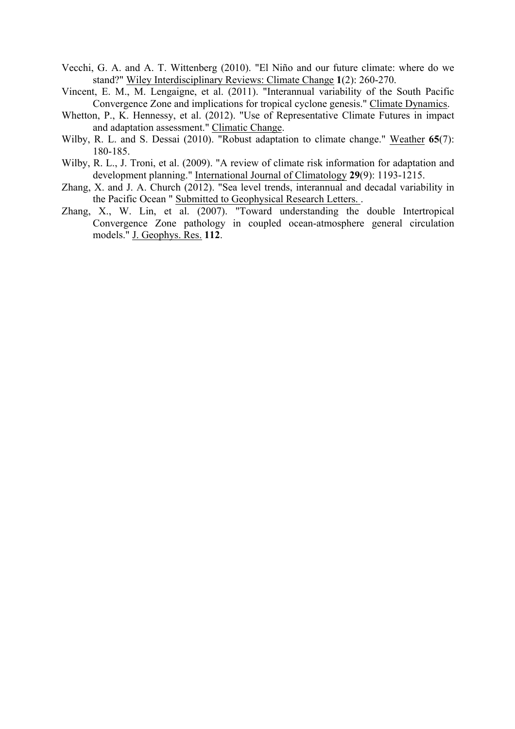- Vecchi, G. A. and A. T. Wittenberg (2010). "El Niño and our future climate: where do we stand?" Wiley Interdisciplinary Reviews: Climate Change **1**(2): 260-270.
- Vincent, E. M., M. Lengaigne, et al. (2011). "Interannual variability of the South Pacific Convergence Zone and implications for tropical cyclone genesis." Climate Dynamics.
- Whetton, P., K. Hennessy, et al. (2012). "Use of Representative Climate Futures in impact and adaptation assessment." Climatic Change.
- Wilby, R. L. and S. Dessai (2010). "Robust adaptation to climate change." Weather **65**(7): 180-185.
- Wilby, R. L., J. Troni, et al. (2009). "A review of climate risk information for adaptation and development planning." International Journal of Climatology **29**(9): 1193-1215.
- Zhang, X. and J. A. Church (2012). "Sea level trends, interannual and decadal variability in the Pacific Ocean " Submitted to Geophysical Research Letters. .
- Zhang, X., W. Lin, et al.  $(2007)$ . "Toward understanding the double Intertropical Convergence Zone pathology in coupled ocean-atmosphere general circulation models." J. Geophys. Res. **112**.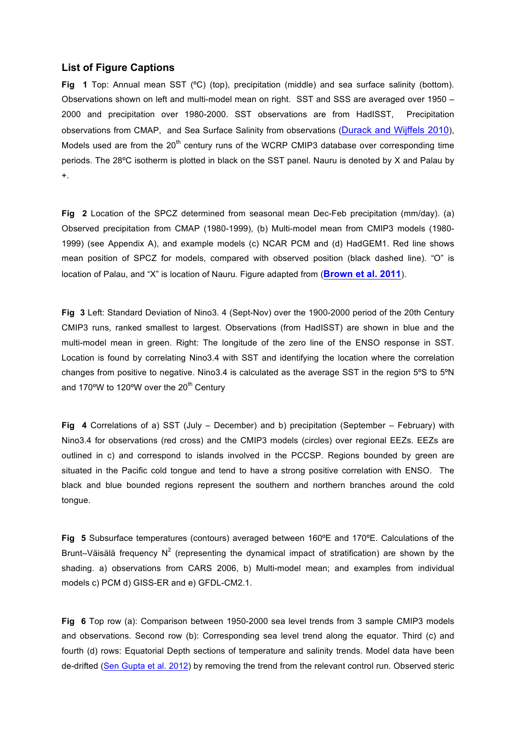#### **List of Figure Captions**

**Fig 1** Top: Annual mean SST (ºC) (top), precipitation (middle) and sea surface salinity (bottom). Observations shown on left and multi-model mean on right. SST and SSS are averaged over 1950 – 2000 and precipitation over 1980-2000. SST observations are from HadISST, Precipitation observations from CMAP, and Sea Surface Salinity from observations (Durack and Wijffels 2010), Models used are from the  $20<sup>th</sup>$  century runs of the WCRP CMIP3 database over corresponding time periods. The 28ºC isotherm is plotted in black on the SST panel. Nauru is denoted by X and Palau by +.

**Fig 2** Location of the SPCZ determined from seasonal mean Dec-Feb precipitation (mm/day). (a) Observed precipitation from CMAP (1980-1999), (b) Multi-model mean from CMIP3 models (1980- 1999) (see Appendix A), and example models (c) NCAR PCM and (d) HadGEM1. Red line shows mean position of SPCZ for models, compared with observed position (black dashed line). "O" is location of Palau, and "X" is location of Nauru. Figure adapted from (**Brown et al. 2011**).

**Fig 3** Left: Standard Deviation of Nino3. 4 (Sept-Nov) over the 1900-2000 period of the 20th Century CMIP3 runs, ranked smallest to largest. Observations (from HadISST) are shown in blue and the multi-model mean in green. Right: The longitude of the zero line of the ENSO response in SST. Location is found by correlating Nino3.4 with SST and identifying the location where the correlation changes from positive to negative. Nino3.4 is calculated as the average SST in the region 5ºS to 5ºN and 170 $\textdegree W$  to 120 $\textdegree W$  over the 20<sup>th</sup> Century

**Fig 4** Correlations of a) SST (July – December) and b) precipitation (September – February) with Nino3.4 for observations (red cross) and the CMIP3 models (circles) over regional EEZs. EEZs are outlined in c) and correspond to islands involved in the PCCSP. Regions bounded by green are situated in the Pacific cold tongue and tend to have a strong positive correlation with ENSO. The black and blue bounded regions represent the southern and northern branches around the cold tongue.

**Fig 5** Subsurface temperatures (contours) averaged between 160ºE and 170ºE. Calculations of the Brunt–Väisälä frequency  $N^2$  (representing the dynamical impact of stratification) are shown by the shading. a) observations from CARS 2006, b) Multi-model mean; and examples from individual models c) PCM d) GISS-ER and e) GFDL-CM2.1.

**Fig 6** Top row (a): Comparison between 1950-2000 sea level trends from 3 sample CMIP3 models and observations. Second row (b): Corresponding sea level trend along the equator. Third (c) and fourth (d) rows: Equatorial Depth sections of temperature and salinity trends. Model data have been de-drifted (Sen Gupta et al. 2012) by removing the trend from the relevant control run. Observed steric